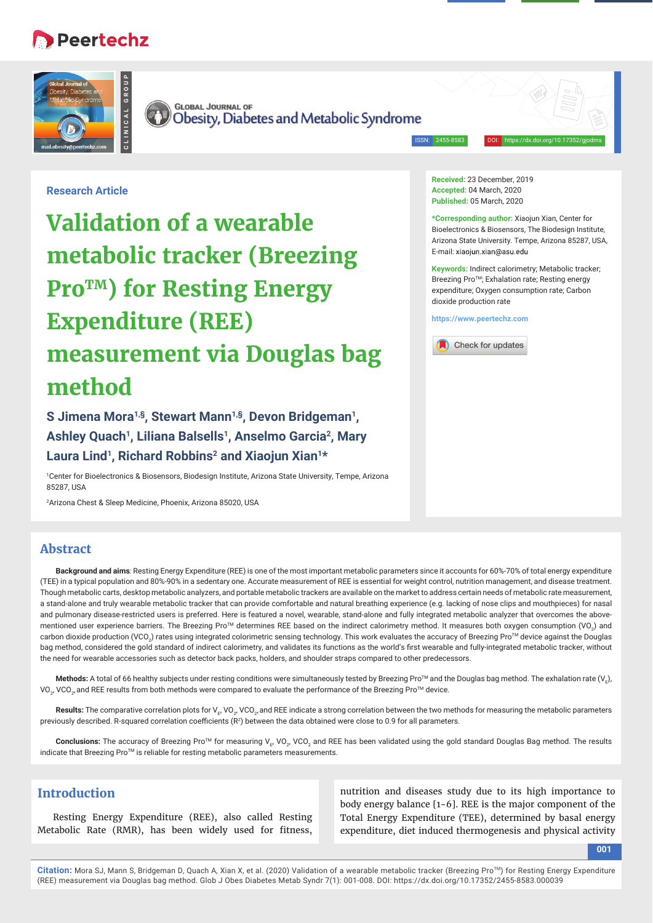# **Peertechz**





Obesity, Diabetes and Metabolic Syndrome

ISSN: 2455-8583 DOI: https://dx.doi.org/10.17352/gjodms

## **Research Article**

**Validation of a wearable metabolic tracker (Breezing Pro<sup>TM</sup>**) for Resting Energy **Expenditure (REE) measurement via Douglas bag method**

**S Jimena Mora1,§, Stewart Mann1,§, Devon Bridgeman1, Ashley Quach1, Liliana Balsells1, Anselmo Garcia2, Mary**  Laura Lind<sup>1</sup>, Richard Robbins<sup>2</sup> and Xiaojun Xian<sup>1\*</sup>

1 Center for Bioelectronics & Biosensors, Biodesign Institute, Arizona State University, Tempe, Arizona 85287, USA

2 Arizona Chest & Sleep Medicine, Phoenix, Arizona 85020, USA

#### **Received:** 23 December, 2019 **Accepted:** 04 March, 2020 **Published:** 05 March, 2020

**\*Corresponding author:** Xiaojun Xian, Center for Bioelectronics & Biosensors, The Biodesign Institute, Arizona State University. Tempe, Arizona 85287, USA, E-mail: xiaojun.xian@asu.edu

**Keywords:** Indirect calorimetry; Metabolic tracker; Breezing Pro™; Exhalation rate; Resting energy expenditure; Oxygen consumption rate; Carbon dioxide production rate

**https://www.peertechz.com**



## **Abstract**

**Background and aims***:* Resting Energy Expenditure (REE) is one of the most important metabolic parameters since it accounts for 60%-70% of total energy expenditure (TEE) in a typical population and 80%-90% in a sedentary one. Accurate measurement of REE is essential for weight control, nutrition management, and disease treatment. Though metabolic carts, desktop metabolic analyzers, and portable metabolic trackers are available on the market to address certain needs of metabolic rate measurement, a stand-alone and truly wearable metabolic tracker that can provide comfortable and natural breathing experience (e.g. lacking of nose clips and mouthpieces) for nasal and pulmonary disease-restricted users is preferred. Here is featured a novel, wearable, stand-alone and fully integrated metabolic analyzer that overcomes the abovementioned user experience barriers. The Breezing Pro™ determines REE based on the indirect calorimetry method. It measures both oxygen consumption (VO<sub>2</sub>) and carbon dioxide production (VCO<sub>2</sub>) rates using integrated colorimetric sensing technology. This work evaluates the accuracy of Breezing Pro™ device against the Douglas bag method, considered the gold standard of indirect calorimetry, and validates its functions as the world's first wearable and fully-integrated metabolic tracker, without the need for wearable accessories such as detector back packs, holders, and shoulder straps compared to other predecessors.

**Methods:** A total of 66 healthy subjects under resting conditions were simultaneously tested by Breezing Pro™ and the Douglas bag method. The exhalation rate (V<sub>E</sub>), VO $_{2^{\prime}}$  VCO $_{2^{\prime}}$ and REE results from both methods were compared to evaluate the performance of the Breezing Pro™ device.

**Results:** The comparative correlation plots for V<sub>E</sub>, VO<sub>2</sub>, VCO<sub>2</sub>, and REE indicate a strong correlation between the two methods for measuring the metabolic parameters previously described. R-squared correlation coefficients  $(R^2)$  between the data obtained were close to 0.9 for all parameters.

 ${\sf Conclusions:}$  The accuracy of Breezing Pro™ for measuring V<sub>E</sub>, VO<sub>2</sub>, VCO<sub>2</sub> and REE has been validated using the gold standard Douglas Bag method. The results indicate that Breezing Pro™ is reliable for resting metabolic parameters measurements.

## **Introduction**

Resting Energy Expenditure (REE), also called Resting Metabolic Rate (RMR), has been widely used for fitness,

nutrition and diseases study due to its high importance to body energy balance [1-6]. REE is the major component of the Total Energy Expenditure (TEE), determined by basal energy expenditure, diet induced thermogenesis and physical activity

**001**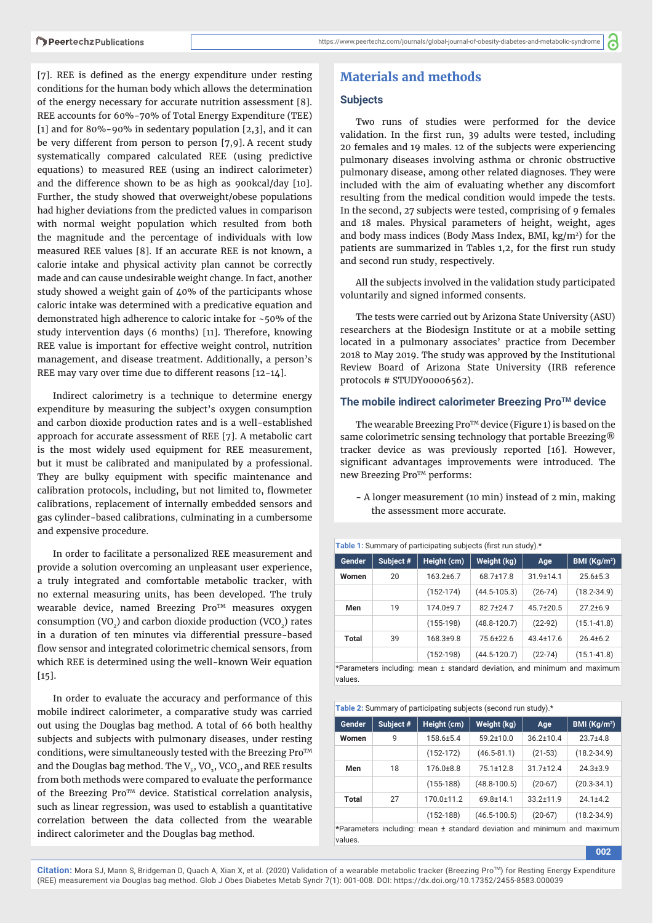്

[7]. REE is defined as the energy expenditure under resting conditions for the human body which allows the determination of the energy necessary for accurate nutrition assessment [8]. REE accounts for 60%-70% of Total Energy Expenditure (TEE) [1] and for 80%-90% in sedentary population  $[2,3]$ , and it can be very different from person to person [7,9]. A recent study systematically compared calculated REE (using predictive equations) to measured REE (using an indirect calorimeter) and the difference shown to be as high as 900kcal/day [10]. Further, the study showed that overweight/obese populations had higher deviations from the predicted values in comparison with normal weight population which resulted from both the magnitude and the percentage of individuals with low measured REE values [8]. If an accurate REE is not known, a calorie intake and physical activity plan cannot be correctly made and can cause undesirable weight change. In fact, another study showed a weight gain of 40% of the participants whose caloric intake was determined with a predicative equation and demonstrated high adherence to caloric intake for ~50% of the study intervention days (6 months) [11]. Therefore, knowing REE value is important for effective weight control, nutrition management, and disease treatment. Additionally, a person's REE may vary over time due to different reasons [12-14].

Indirect calorimetry is a technique to determine energy expenditure by measuring the subject's oxygen consumption and carbon dioxide production rates and is a well-established approach for accurate assessment of REE [7]. A metabolic cart is the most widely used equipment for REE measurement, but it must be calibrated and manipulated by a professional. They are bulky equipment with specific maintenance and calibration protocols, including, but not limited to, flowmeter calibrations, replacement of internally embedded sensors and gas cylinder-based calibrations, culminating in a cumbersome and expensive procedure.

In order to facilitate a personalized REE measurement and provide a solution overcoming an unpleasant user experience, a truly integrated and comfortable metabolic tracker, with no external measuring units, has been developed. The truly wearable device, named Breezing Pro<sup>TM</sup> measures oxygen consumption (VO<sub>2</sub>) and carbon dioxide production (VCO<sub>2</sub>) rates in a duration of ten minutes via differential pressure-based flow sensor and integrated colorimetric chemical sensors, from which REE is determined using the well-known Weir equation [15].

In order to evaluate the accuracy and performance of this mobile indirect calorimeter, a comparative study was carried out using the Douglas bag method. A total of 66 both healthy subjects and subjects with pulmonary diseases, under resting conditions, were simultaneously tested with the Breezing  $Pro^{TM}$ and the Douglas bag method. The  $V_{F}$ , VO<sub>2</sub>, VCO<sub>2</sub>, and REE results from both methods were compared to evaluate the performance of the Breezing Pro<sup>TM</sup> device. Statistical correlation analysis, such as linear regression, was used to establish a quantitative correlation between the data collected from the wearable indirect calorimeter and the Douglas bag method.

## **Materials and methods**

#### **Subjects**

Two runs of studies were performed for the device validation. In the first run, 39 adults were tested, including 20 females and 19 males. 12 of the subjects were experiencing pulmonary diseases involving asthma or chronic obstructive pulmonary disease, among other related diagnoses. They were included with the aim of evaluating whether any discomfort resulting from the medical condition would impede the tests. In the second, 27 subjects were tested, comprising of 9 females and 18 males. Physical parameters of height, weight, ages and body mass indices (Body Mass Index, BMI,  $\text{kg/m}^2$ ) for the patients are summarized in Tables 1,2, for the first run study and second run study, respectively.

All the subjects involved in the validation study participated voluntarily and signed informed consents.

The tests were carried out by Arizona State University (ASU) researchers at the Biodesign Institute or at a mobile setting located in a pulmonary associates' practice from December 2018 to May 2019. The study was approved by the Institutional Review Board of Arizona State University (IRB reference protocols # STUDY00006562).

## The mobile indirect calorimeter Breezing Pro<sup>™</sup> device

The wearable Breezing  $Pro^{TM}$  device (Figure 1) is based on the same colorimetric sensing technology that portable Breezing® tracker device as was previously reported [16]. However, significant advantages improvements were introduced. The new Breezing Pro™ performs:

- A longer measurement (10 min) instead of 2 min, making the assessment more accurate.

Table 1: Summary of participating subjects (first run study).\* Gender | Subject # | Height (cm) | Weight (kg) | Age | BMI (Kg/m<sup>2</sup>) Women 20 163.2±6.7 68.7±17.8 31.9±14.1 25.6±5.3 (152-174) (44.5-105.3) (26-74) (18.2-34.9) **Men** 19 174.0±9.7 82.7±24.7 45.7±20.5 27.2±6.9 (155-198) (48.8-120.7) (22-92) (15.1-41.8) **Total** 39 168.3±9.8 75.6±22.6 43.4±17.6 26.4±6.2  $(152-198)$   $(44.5-120.7)$   $(22-74)$   $(15.1-41.8)$ 

\*Parameters including: mean ± standard deviation, and minimum and maximum values.

| Table 2: Summary of participating subjects (second run study).* |           |                 |                    |                 |                 |  |  |
|-----------------------------------------------------------------|-----------|-----------------|--------------------|-----------------|-----------------|--|--|
| Gender                                                          | Subject # | Height (cm)     | Weight (kg)<br>Age |                 | BMI $(Kq/m^2)$  |  |  |
| Women                                                           | 9         | $158.6 \pm 5.4$ | $59.2 \pm 10.0$    | $36.2 \pm 10.4$ | $23.7 + 4.8$    |  |  |
|                                                                 |           | $(152-172)$     | $(46.5 - 81.1)$    | $(21-53)$       | $(18.2 - 34.9)$ |  |  |
| Men                                                             | 18        | $176.0 \pm 8.8$ | $75.1 \pm 12.8$    | $31.7 \pm 12.4$ | $24.3 \pm 3.9$  |  |  |
|                                                                 |           | $(155-188)$     | $(48.8 - 100.5)$   | $(20-67)$       | $(20.3 - 34.1)$ |  |  |
| Total                                                           | 27        | 170.0±11.2      | 69.8±14.1          | $33.2 \pm 11.9$ | $24.1 + 4.2$    |  |  |
|                                                                 |           | $(152-188)$     | $(46.5 - 100.5)$   | $(20-67)$       | $(18.2 - 34.9)$ |  |  |

**\***Parameters including: mean ± standard deviation and minimum and maximum values.

**002**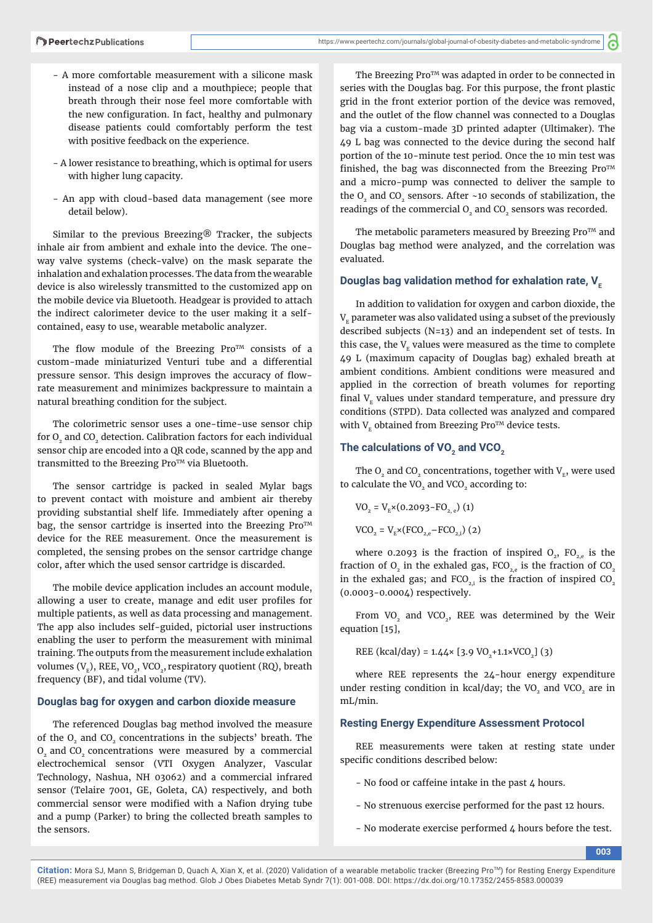- A more comfortable measurement with a silicone mask instead of a nose clip and a mouthpiece; people that breath through their nose feel more comfortable with the new configuration. In fact, healthy and pulmonary disease patients could comfortably perform the test with positive feedback on the experience.
- A lower resistance to breathing, which is optimal for users with higher lung capacity.
- An app with cloud-based data management (see more detail below).

Similar to the previous Breezing® Tracker, the subjects inhale air from ambient and exhale into the device. The oneway valve systems (check-valve) on the mask separate the inhalation and exhalation processes. The data from the wearable device is also wirelessly transmitted to the customized app on the mobile device via Bluetooth. Headgear is provided to attach the indirect calorimeter device to the user making it a selfcontained, easy to use, wearable metabolic analyzer.

The flow module of the Breezing Pro $TM$  consists of a custom-made miniaturized Venturi tube and a differential pressure sensor. This design improves the accuracy of flowrate measurement and minimizes backpressure to maintain a natural breathing condition for the subject.

The colorimetric sensor uses a one-time-use sensor chip for O<sub>2</sub> and CO<sub>2</sub> detection. Calibration factors for each individual sensor chip are encoded into a QR code, scanned by the app and transmitted to the Breezing Pro™ via Bluetooth.

The sensor cartridge is packed in sealed Mylar bags to prevent contact with moisture and ambient air thereby providing substantial shelf life. Immediately after opening a bag, the sensor cartridge is inserted into the Breezing  $Pro^{TM}$ device for the REE measurement. Once the measurement is completed, the sensing probes on the sensor cartridge change color, after which the used sensor cartridge is discarded.

The mobile device application includes an account module, allowing a user to create, manage and edit user profiles for multiple patients, as well as data processing and management. The app also includes self-guided, pictorial user instructions enabling the user to perform the measurement with minimal training. The outputs from the measurement include exhalation volumes  $(V<sub>r</sub>)$ , REE, VO<sub>2</sub>, VCO<sub>2</sub>, respiratory quotient (RQ), breath frequency (BF), and tidal volume (TV).

## **Douglas bag for oxygen and carbon dioxide measure**

The referenced Douglas bag method involved the measure of the O<sub>2</sub> and CO<sub>2</sub> concentrations in the subjects' breath. The O<sub>2</sub> and CO<sub>2</sub> concentrations were measured by a commercial electrochemical sensor (VTI Oxygen Analyzer, Vascular Technology, Nashua, NH 03062) and a commercial infrared sensor (Telaire 7001, GE, Goleta, CA) respectively, and both commercial sensor were modified with a Nafion drying tube and a pump (Parker) to bring the collected breath samples to the sensors.

The Breezing Pro<sup>TM</sup> was adapted in order to be connected in series with the Douglas bag. For this purpose, the front plastic grid in the front exterior portion of the device was removed, and the outlet of the flow channel was connected to a Douglas bag via a custom-made 3D printed adapter (Ultimaker). The 49 L bag was connected to the device during the second half portion of the 10-minute test period. Once the 10 min test was finished, the bag was disconnected from the Breezing  $Pro^{TM}$ and a micro-pump was connected to deliver the sample to the  $O<sub>2</sub>$  and CO<sub>2</sub> sensors. After ~10 seconds of stabilization, the readings of the commercial  $O<sub>2</sub>$  and  $CO<sub>2</sub>$  sensors was recorded.

The metabolic parameters measured by Breezing  $Pro<sup>TM</sup>$  and Douglas bag method were analyzed, and the correlation was evaluated.

## **Douglas bag validation method for exhalation rate, V<sub>F</sub>**

In addition to validation for oxygen and carbon dioxide, the  $V<sub>F</sub>$  parameter was also validated using a subset of the previously described subjects (N=13) and an independent set of tests. In this case, the  $V<sub>F</sub>$  values were measured as the time to complete 49 L (maximum capacity of Douglas bag) exhaled breath at ambient conditions. Ambient conditions were measured and applied in the correction of breath volumes for reporting final  $V<sub>F</sub>$  values under standard temperature, and pressure dry conditions (STPD). Data collected was analyzed and compared with  $V_F$  obtained from Breezing Pro<sup>TM</sup> device tests.

#### The calculations of VO<sub>2</sub> and VCO<sub>2</sub>

The  $O<sub>2</sub>$  and CO<sub>2</sub> concentrations, together with  $V<sub>v</sub>$ , were used to calculate the VO<sub>2</sub> and VCO<sub>2</sub> according to:

 $VO_2 = V_R \times (0.2093 - FO_{2.8})$  (1)  $VCO_2 = V_{E} \times (FCO_{2,e} - FCO_{2,i})$  (2)

where 0.2093 is the fraction of inspired  $O_{2}$ , FO<sub>2,e</sub> is the fraction of  $O_2$  in the exhaled gas,  $FCO_{2,e}$  is the fraction of  $CO_2$ in the exhaled gas; and  $FCO<sub>21</sub>$  is the fraction of inspired CO<sub>2</sub> (0.0003-0.0004) respectively.

From VO<sub>2</sub> and VCO<sub>2</sub>, REE was determined by the Weir equation [15],

REE (kcal/day) =  $1.44 \times$  [3.9 VO<sub>2</sub>+1.1×VCO<sub>2</sub>] (3)

where REE represents the 24-hour energy expenditure under resting condition in kcal/day; the VO<sub>2</sub> and VCO<sub>2</sub> are in mL/min.

## **Resting Energy Expenditure Assessment Protocol**

REE measurements were taken at resting state under specific conditions described below:

- No food or caffeine intake in the past 4 hours.
- No strenuous exercise performed for the past 12 hours.
- No moderate exercise performed 4 hours before the test.

**003**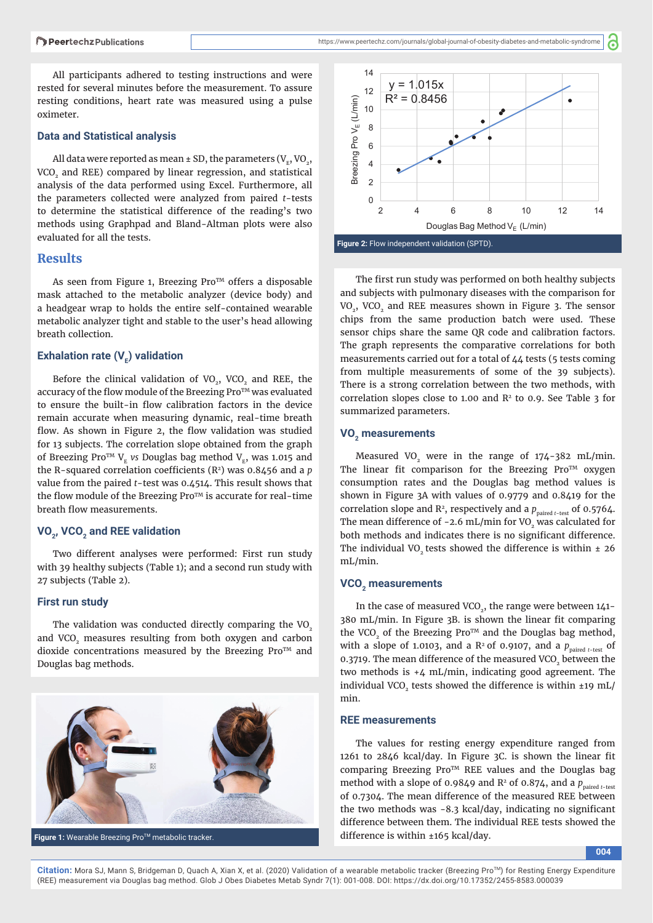All participants adhered to testing instructions and were rested for several minutes before the measurement. To assure resting conditions, heart rate was measured using a pulse oximeter.

#### **Data and Statistical analysis**

All data were reported as mean  $\pm$  SD, the parameters (V<sub>E</sub>, VO<sub>2</sub>, VCO<sub>2</sub> and REE) compared by linear regression, and statistical analysis of the data performed using Excel. Furthermore, all the parameters collected were analyzed from paired *t*-tests to determine the statistical difference of the reading's two methods using Graphpad and Bland-Altman plots were also evaluated for all the tests.

## **Results**

As seen from Figure 1, Breezing Pro™ offers a disposable mask attached to the metabolic analyzer (device body) and a headgear wrap to holds the entire self-contained wearable metabolic analyzer tight and stable to the user's head allowing breath collection.

## **Exhalation rate (V<sub>E</sub>) validation**

Before the clinical validation of  $VO<sub>2</sub>$ , VCO<sub>2</sub> and REE, the accuracy of the flow module of the Breezing Pro<sup>TM</sup> was evaluated to ensure the built-in flow calibration factors in the device remain accurate when measuring dynamic, real-time breath flow. As shown in Figure 2, the flow validation was studied for 13 subjects. The correlation slope obtained from the graph of Breezing Pro<sup>TM</sup> V<sub>E</sub> vs Douglas bag method V<sub>E</sub>, was 1.015 and the R-squared correlation coefficients  $(R^2)$  was 0.8456 and a  $p$ value from the paired *t*-test was 0.4514. This result shows that the flow module of the Breezing  $Pro^{TM}$  is accurate for real-time breath flow measurements.

## VO<sub>2</sub>, VCO<sub>2</sub> and REE validation

Two different analyses were performed: First run study with 39 healthy subjects (Table 1); and a second run study with 27 subjects (Table 2).

#### **First run study**

The validation was conducted directly comparing the  $VO<sub>2</sub>$ and VCO<sub>2</sub> measures resulting from both oxygen and carbon dioxide concentrations measured by the Breezing Pro $TM$  and Douglas bag methods.



**Figure 1:** Wearable Breezing Pro™ metabolic tracker.

്



The first run study was performed on both healthy subjects and subjects with pulmonary diseases with the comparison for VO<sub>2</sub>, VCO<sub>2</sub> and REE measures shown in Figure 3. The sensor chips from the same production batch were used. These sensor chips share the same QR code and calibration factors. The graph represents the comparative correlations for both measurements carried out for a total of 44 tests (5 tests coming from multiple measurements of some of the 39 subjects). There is a strong correlation between the two methods, with correlation slopes close to 1.00 and  $R<sup>2</sup>$  to 0.9. See Table 3 for summarized parameters.

#### VO<sub>2</sub> measurements

Measured VO<sub>2</sub> were in the range of  $174-382$  mL/min. The linear fit comparison for the Breezing Pro<sup>TM</sup> oxygen consumption rates and the Douglas bag method values is shown in Figure 3A with values of 0.9779 and 0.8419 for the correlation slope and  $\mathbb{R}^2$ , respectively and a  $p_{\text{paired } t\text{-test}}$  of 0.5764. The mean difference of  $-2.6$  mL/min for VO<sub>2</sub> was calculated for both methods and indicates there is no significant difference. The individual VO<sub>2</sub> tests showed the difference is within  $\pm$  26 mL/min.

#### **VCO2 measurements**

In the case of measured VCO<sub>2</sub>, the range were between  $141-$ 380 mL/min. In Figure 3B. is shown the linear fit comparing the VCO<sub>2</sub> of the Breezing Pro<sup>TM</sup> and the Douglas bag method, with a slope of 1.0103, and a  $R^2$  of 0.9107, and a  $p_{\text{paired } t\text{-test }}$  of 0.3719. The mean difference of the measured VCO<sub>2</sub> between the two methods is +4 mL/min, indicating good agreement. The individual VCO<sub>2</sub> tests showed the difference is within  $\pm$ 19 mL/ min.

## **REE measurements**

The values for resting energy expenditure ranged from  $1261$  to  $2846$  kcal/day. In Figure 3C. is shown the linear fit comparing Breezing Pro™ REE values and the Douglas bag method with a slope of 0.9849 and  $R^2$  of 0.874, and a  $p_{\text{paired } t\text{-test}}$ of 0.7304. The mean difference of the measured REE between the two methods was  $-8.3$  kcal/day, indicating no significant difference between them. The individual REE tests showed the difference is within ±165 kcal/day.

**004**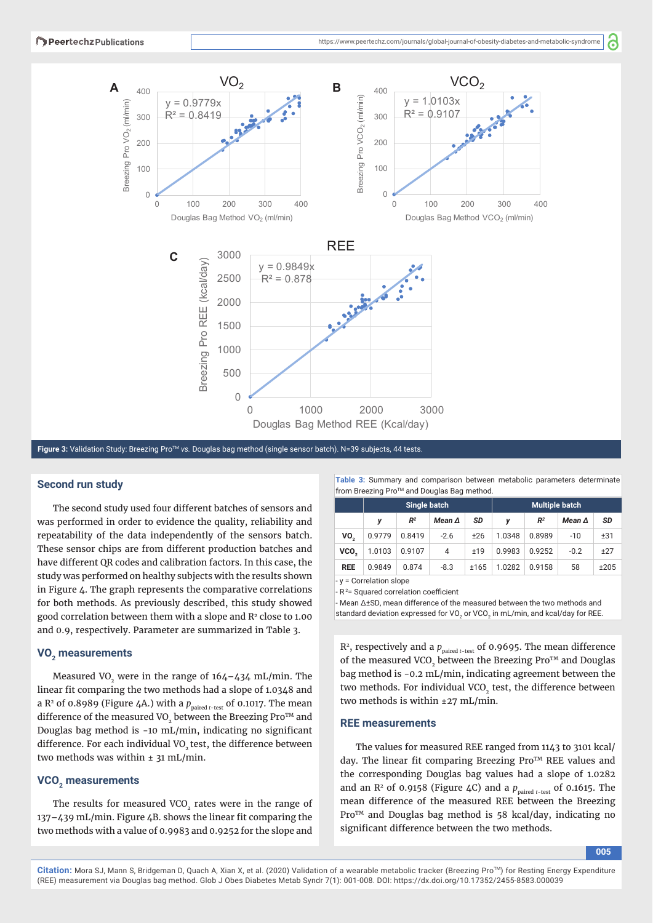a



**Figure 3:** Validation Study: Breezing ProTM *vs.* Douglas bag method (single sensor batch). N=39 subjects, 44 tests.

## **Second run study**

The second study used four different batches of sensors and was performed in order to evidence the quality, reliability and repeatability of the data independently of the sensors batch. These sensor chips are from different production batches and have different QR codes and calibration factors. In this case, the study was performed on healthy subjects with the results shown in Figure 4. The graph represents the comparative correlations for both methods. As previously described, this study showed good correlation between them with a slope and R<sup>2</sup> close to 1.00 and 0.9, respectively. Parameter are summarized in Table 3.

#### VO<sub>2</sub> measurements

Measured VO<sub>2</sub> were in the range of  $164-434$  mL/min. The linear fit comparing the two methods had a slope of 1.0348 and a  $R^2$  of 0.8989 (Figure 4A.) with a  $p_{\text{naired t-test}}$  of 0.1017. The mean difference of the measured VO<sub>2</sub> between the Breezing Pro<sup>TM</sup> and Douglas bag method is  $-10$  mL/min, indicating no significant difference. For each individual VO<sub>2</sub> test, the difference between two methods was within  $\pm$  31 mL/min.

#### **VCO<sub>2</sub>** measurements

The results for measured VCO<sub>2</sub> rates were in the range of  $137-439$  mL/min. Figure  $4B$ . shows the linear fit comparing the two methods with a value of 0.9983 and 0.9252 for the slope and **Table 3:** Summary and comparison between metabolic parameters determinate from Breezing Pro™ and Douglas Bag method.

|                         | Single batch |                |               |      | <b>Multiple batch</b> |                |               |      |
|-------------------------|--------------|----------------|---------------|------|-----------------------|----------------|---------------|------|
|                         | y            | R <sup>2</sup> | Mean $\Delta$ | SD   | v                     | R <sup>2</sup> | Mean $\Delta$ | SD   |
| VO.                     | 0.9779       | 0.8419         | $-2.6$        | ±26  | 1.0348                | 0.8989         | $-10$         | ±31  |
| VCO.                    | 1.0103       | 0.9107         | 4             | ±19  | 0.9983                | 0.9252         | $-0.2$        | ±27  |
| <b>REE</b>              | 0.9849       | 0.874          | $-8.3$        | ±165 | 1.0282                | 0.9158         | 58            | ±205 |
| - y = Correlation slope |              |                |               |      |                       |                |               |      |

- R<sup>2</sup> = Squared correlation coefficient

- Mean ∆±SD, mean difference of the measured between the two methods and standard deviation expressed for VO<sub>2</sub> or VCO<sub>2</sub> in mL/min, and kcal/day for REE.

 $R^2$ , respectively and a  $p_{\text{paired } t-test}$  of 0.9695. The mean difference of the measured VCO<sub>2</sub> between the Breezing Pro<sup>TM</sup> and Douglas bag method is -0.2 mL/min, indicating agreement between the two methods. For individual VCO<sub>2</sub> test, the difference between two methods is within ±27 mL/min.

#### **REE measurements**

The values for measured REE ranged from 1143 to 3101 kcal/ day. The linear fit comparing Breezing  $Pro<sup>TM</sup> REE$  values and the corresponding Douglas bag values had a slope of 1.0282 and an  $\mathbb{R}^2$  of 0.9158 (Figure 4C) and a  $p_{\text{paired } t\text{-test}}$  of 0.1615. The mean difference of the measured REE between the Breezing Pro™ and Douglas bag method is 58 kcal/day, indicating no significant difference between the two methods.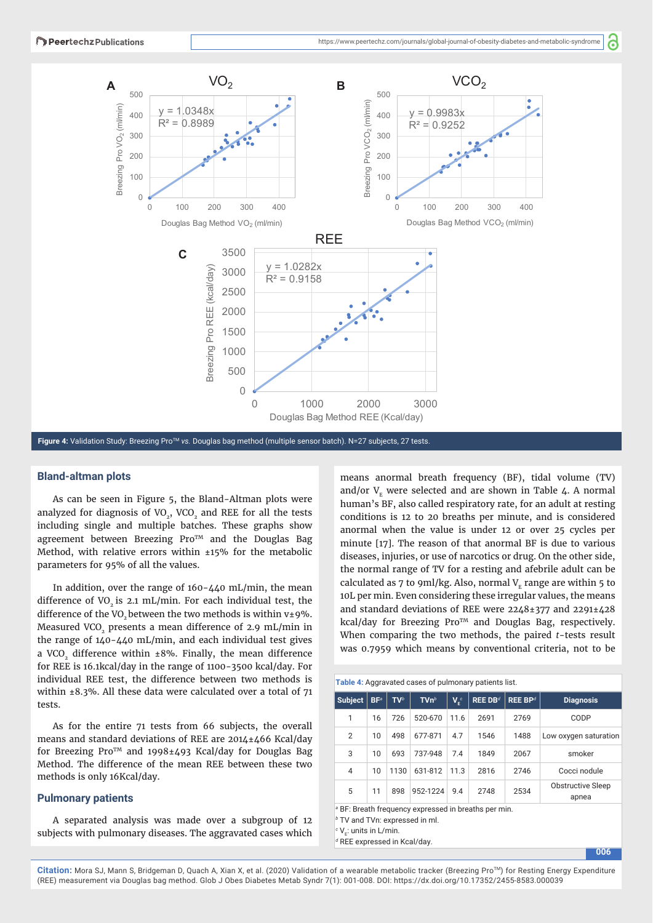്



**Figure 4:** Validation Study: Breezing Pro™ vs. Douglas bag method (multiple sensor batch). N=27 subjects, 27 tests.

## **Bland-altman plots**

As can be seen in Figure 5, the Bland-Altman plots were analyzed for diagnosis of  $VO<sub>2</sub>$ , VCO<sub>2</sub> and REE for all the tests including single and multiple batches. These graphs show agreement between Breezing Pro<sup>TM</sup> and the Douglas Bag Method, with relative errors within ±15% for the metabolic parameters for 95% of all the values.

In addition, over the range of 160-440 mL/min, the mean difference of VO<sub>2</sub> is 2.1 mL/min. For each individual test, the difference of the VO<sub>2</sub> between the two methods is within  $v±9$ %. Measured VCO<sub>2</sub> presents a mean difference of 2.9 mL/min in the range of 140-440 mL/min, and each individual test gives a VCO<sub>2</sub> difference within  $\pm 8$ %. Finally, the mean difference for REE is 16.1kcal/day in the range of 1100-3500 kcal/day. For individual REE test, the difference between two methods is within ±8.3%. All these data were calculated over a total of 71 tests.

As for the entire 71 tests from 66 subjects, the overall means and standard deviations of REE are 2014±466 Kcal/day for Breezing Pro™ and 1998±493 Kcal/day for Douglas Bag Method. The difference of the mean REE between these two methods is only 16Kcal/day.

#### **Pulmonary patients**

A separated analysis was made over a subgroup of 12 subjects with pulmonary diseases. The aggravated cases which means anormal breath frequency (BF), tidal volume (TV) and/or  $V<sub>F</sub>$  were selected and are shown in Table 4. A normal human's BF, also called respiratory rate, for an adult at resting conditions is 12 to 20 breaths per minute, and is considered anormal when the value is under 12 or over 25 cycles per minute [17]. The reason of that anormal BF is due to various diseases, injuries, or use of narcotics or drug. On the other side, the normal range of TV for a resting and afebrile adult can be calculated as 7 to 9ml/kg. Also, normal  $V<sub>r</sub>$  range are within 5 to 10L per min. Even considering these irregular values, the means and standard deviations of REE were 2248±377 and 2291±428 kcal/day for Breezing Pro<sup>TM</sup> and Douglas Bag, respectively. When comparing the two methods, the paired *t*-tests result was 0.7959 which means by conventional criteria, not to be

| Table 4: Aggravated cases of pulmonary patients list.           |                 |                 |                     |             |                       |                     |                                   |
|-----------------------------------------------------------------|-----------------|-----------------|---------------------|-------------|-----------------------|---------------------|-----------------------------------|
| <b>Subject</b>                                                  | BF <sup>a</sup> | TV <sup>b</sup> | $T$ Vn <sup>b</sup> | $V_{e}^{c}$ | $REE$ DB <sup>d</sup> | REE BP <sup>d</sup> | <b>Diagnosis</b>                  |
| 1                                                               | 16              | 726             | 520-670             | 11.6        | 2691                  | 2769                | CODP                              |
| 2                                                               | 10              | 498             | 677-871             | 4.7         | 1546                  | 1488                | Low oxygen saturation             |
| 3                                                               | 10              | 693             | 737-948             | 7.4         | 1849                  | 2067                | smoker                            |
| $\overline{4}$                                                  | 10              | 1130            | 631-812             | 11.3        | 2816                  | 2746                | Cocci nodule                      |
| 5                                                               | 11              | 898             | 952-1224            | 9.4         | 2748                  | 2534                | <b>Obstructive Sleep</b><br>apnea |
| <sup>a</sup> BF: Breath frequency expressed in breaths per min. |                 |                 |                     |             |                       |                     |                                   |

*b* TV and TVn: expressed in ml.

*d* REE expressed in Kcal/day.

 $\cdot$  V<sub>E</sub>: units in L/min.

**006**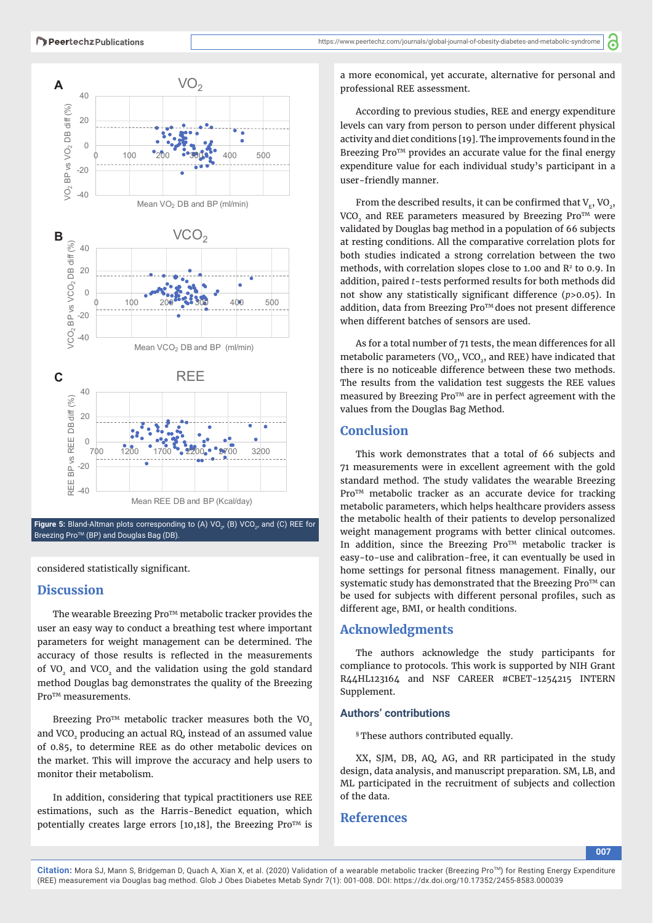

Mean REE DB and BP (Kcal/day)

**Figure 5:** Bland-Altman plots corresponding to (A) VO<sub>2</sub>, (B) VCO<sub>2</sub>, and (C) REE for Breezing Pro<sup>™</sup> (BP) and Douglas Bag (DB).

considered statistically significant.

#### **Discussion**

 $-40$ 

The wearable Breezing Pro<sup>TM</sup> metabolic tracker provides the user an easy way to conduct a breathing test where important parameters for weight management can be determined. The accuracy of those results is reflected in the measurements of VO<sub>2</sub> and VCO<sub>2</sub> and the validation using the gold standard method Douglas bag demonstrates the quality of the Breezing Pro<sup>TM</sup> measurements.

Breezing Pro<sup>TM</sup> metabolic tracker measures both the VO<sub>2</sub> and VCO<sub>2</sub> producing an actual RQ, instead of an assumed value of 0.85, to determine REE as do other metabolic devices on the market. This will improve the accuracy and help users to monitor their metabolism.

In addition, considering that typical practitioners use REE estimations, such as the Harris-Benedict equation, which potentially creates large errors  $[10,18]$ , the Breezing Pro<sup>TM</sup> is

a more economical, yet accurate, alternative for personal and professional REE assessment.

According to previous studies, REE and energy expenditure levels can vary from person to person under different physical activity and diet conditions [19]. The improvements found in the Breezing  $Pro^{TM}$  provides an accurate value for the final energy expenditure value for each individual study's participant in a user-friendly manner.

From the described results, it can be confirmed that  $V_{E}$ , VO<sub>2</sub>, VCO<sub>2</sub> and REE parameters measured by Breezing Pro<sup>TM</sup> were validated by Douglas bag method in a population of 66 subjects at resting conditions. All the comparative correlation plots for both studies indicated a strong correlation between the two methods, with correlation slopes close to 1.00 and R<sup>2</sup> to 0.9. In addition, paired *t*-tests performed results for both methods did not show any statistically significant difference (*p*>0.05). In addition, data from Breezing Pro™ does not present difference when different batches of sensors are used.

As for a total number of 71 tests, the mean differences for all metabolic parameters (VO<sub>2</sub>, VCO<sub>2</sub>, and REE) have indicated that there is no noticeable difference between these two methods. The results from the validation test suggests the REE values measured by Breezing Pro<sup>TM</sup> are in perfect agreement with the values from the Douglas Bag Method.

## **Conclusion**

This work demonstrates that a total of 66 subjects and 71 measurements were in excellent agreement with the gold standard method. The study validates the wearable Breezing Pro<sup>TM</sup> metabolic tracker as an accurate device for tracking metabolic parameters, which helps healthcare providers assess the metabolic health of their patients to develop personalized weight management programs with better clinical outcomes. In addition, since the Breezing Pro<sup>TM</sup> metabolic tracker is easy-to-use and calibration-free, it can eventually be used in home settings for personal fitness management. Finally, our systematic study has demonstrated that the Breezing Pro<sup>TM</sup> can be used for subjects with different personal profiles, such as different age, BMI, or health conditions.

## **Acknowledgments**

The authors acknowledge the study participants for compliance to protocols. This work is supported by NIH Grant R44HL123164 and NSF CAREER #CBET-1254215 INTERN Supplement.

### **Authors' contributions**

§ These authors contributed equally.

XX, SJM, DB, AQ, AG, and RR participated in the study design, data analysis, and manuscript preparation. SM, LB, and ML participated in the recruitment of subjects and collection of the data.

## **References**

**007**